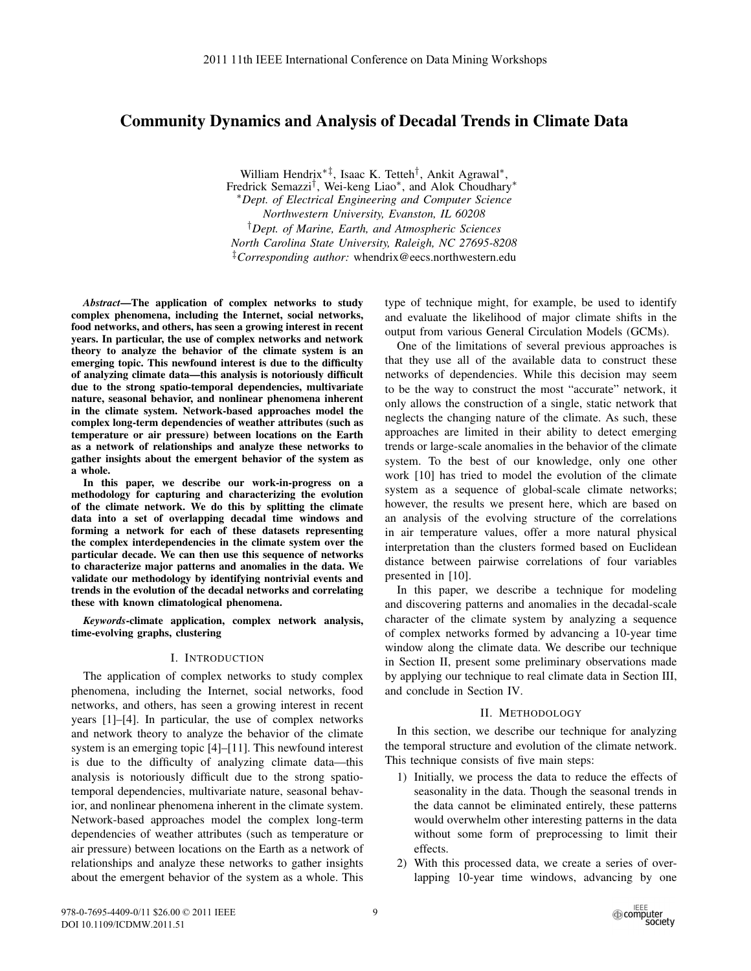# Community Dynamics and Analysis of Decadal Trends in Climate Data

William Hendrix∗‡, Isaac K. Tetteh†, Ankit Agrawal∗, Fredrick Semazzi†, Wei-keng Liao∗, and Alok Choudhary∗ ∗*Dept. of Electrical Engineering and Computer Science Northwestern University, Evanston, IL 60208* †*Dept. of Marine, Earth, and Atmospheric Sciences North Carolina State University, Raleigh, NC 27695-8208* ‡*Corresponding author:* whendrix@eecs.northwestern.edu

*Abstract*—The application of complex networks to study complex phenomena, including the Internet, social networks, food networks, and others, has seen a growing interest in recent years. In particular, the use of complex networks and network theory to analyze the behavior of the climate system is an emerging topic. This newfound interest is due to the difficulty of analyzing climate data—this analysis is notoriously difficult due to the strong spatio-temporal dependencies, multivariate nature, seasonal behavior, and nonlinear phenomena inherent in the climate system. Network-based approaches model the complex long-term dependencies of weather attributes (such as temperature or air pressure) between locations on the Earth as a network of relationships and analyze these networks to gather insights about the emergent behavior of the system as a whole.

In this paper, we describe our work-in-progress on a methodology for capturing and characterizing the evolution of the climate network. We do this by splitting the climate data into a set of overlapping decadal time windows and forming a network for each of these datasets representing the complex interdependencies in the climate system over the particular decade. We can then use this sequence of networks to characterize major patterns and anomalies in the data. We validate our methodology by identifying nontrivial events and trends in the evolution of the decadal networks and correlating these with known climatological phenomena.

*Keywords*-climate application, complex network analysis, time-evolving graphs, clustering

### I. INTRODUCTION

The application of complex networks to study complex phenomena, including the Internet, social networks, food networks, and others, has seen a growing interest in recent years [1]–[4]. In particular, the use of complex networks and network theory to analyze the behavior of the climate system is an emerging topic [4]–[11]. This newfound interest is due to the difficulty of analyzing climate data—this analysis is notoriously difficult due to the strong spatiotemporal dependencies, multivariate nature, seasonal behavior, and nonlinear phenomena inherent in the climate system. Network-based approaches model the complex long-term dependencies of weather attributes (such as temperature or air pressure) between locations on the Earth as a network of relationships and analyze these networks to gather insights about the emergent behavior of the system as a whole. This

type of technique might, for example, be used to identify and evaluate the likelihood of major climate shifts in the output from various General Circulation Models (GCMs).

One of the limitations of several previous approaches is that they use all of the available data to construct these networks of dependencies. While this decision may seem to be the way to construct the most "accurate" network, it only allows the construction of a single, static network that neglects the changing nature of the climate. As such, these approaches are limited in their ability to detect emerging trends or large-scale anomalies in the behavior of the climate system. To the best of our knowledge, only one other work [10] has tried to model the evolution of the climate system as a sequence of global-scale climate networks; however, the results we present here, which are based on an analysis of the evolving structure of the correlations in air temperature values, offer a more natural physical interpretation than the clusters formed based on Euclidean distance between pairwise correlations of four variables presented in [10].

In this paper, we describe a technique for modeling and discovering patterns and anomalies in the decadal-scale character of the climate system by analyzing a sequence of complex networks formed by advancing a 10-year time window along the climate data. We describe our technique in Section II, present some preliminary observations made by applying our technique to real climate data in Section III, and conclude in Section IV.

### II. METHODOLOGY

In this section, we describe our technique for analyzing the temporal structure and evolution of the climate network. This technique consists of five main steps:

- 1) Initially, we process the data to reduce the effects of seasonality in the data. Though the seasonal trends in the data cannot be eliminated entirely, these patterns would overwhelm other interesting patterns in the data without some form of preprocessing to limit their effects.
- 2) With this processed data, we create a series of overlapping 10-year time windows, advancing by one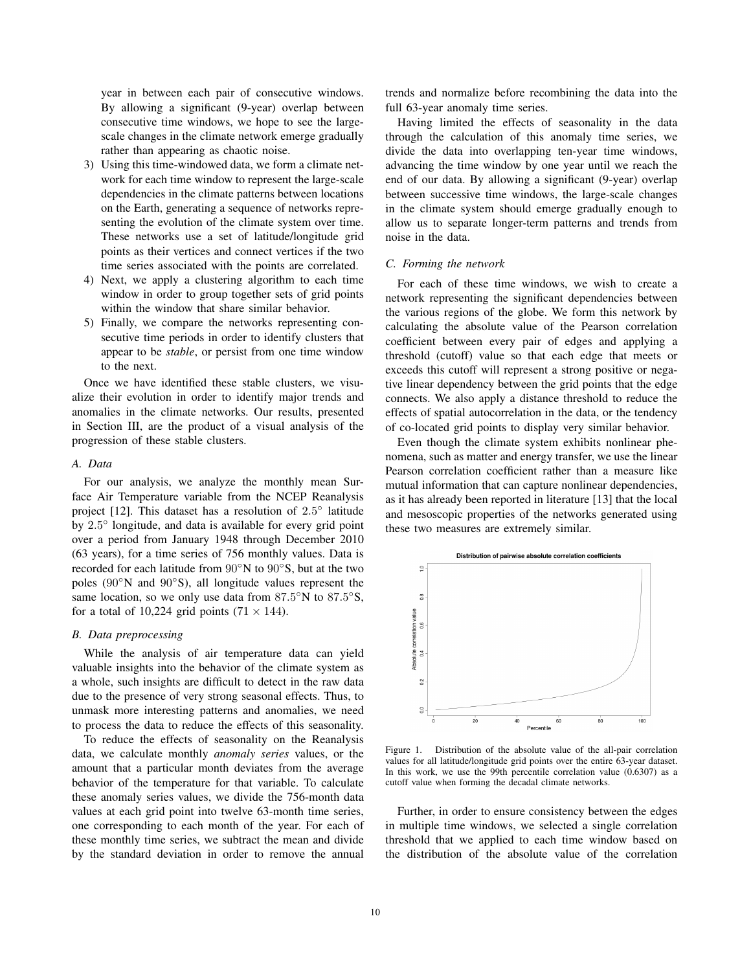year in between each pair of consecutive windows. By allowing a significant (9-year) overlap between consecutive time windows, we hope to see the largescale changes in the climate network emerge gradually rather than appearing as chaotic noise.

- 3) Using this time-windowed data, we form a climate network for each time window to represent the large-scale dependencies in the climate patterns between locations on the Earth, generating a sequence of networks representing the evolution of the climate system over time. These networks use a set of latitude/longitude grid points as their vertices and connect vertices if the two time series associated with the points are correlated.
- 4) Next, we apply a clustering algorithm to each time window in order to group together sets of grid points within the window that share similar behavior.
- 5) Finally, we compare the networks representing consecutive time periods in order to identify clusters that appear to be *stable*, or persist from one time window to the next.

Once we have identified these stable clusters, we visualize their evolution in order to identify major trends and anomalies in the climate networks. Our results, presented in Section III, are the product of a visual analysis of the progression of these stable clusters.

### *A. Data*

For our analysis, we analyze the monthly mean Surface Air Temperature variable from the NCEP Reanalysis project [12]. This dataset has a resolution of 2.5◦ latitude by 2.5◦ longitude, and data is available for every grid point over a period from January 1948 through December 2010 (63 years), for a time series of 756 monthly values. Data is recorded for each latitude from 90◦N to 90◦S, but at the two poles (90◦N and 90◦S), all longitude values represent the same location, so we only use data from  $87.5°$ N to  $87.5°$ S, for a total of 10,224 grid points  $(71 \times 144)$ .

#### *B. Data preprocessing*

While the analysis of air temperature data can yield valuable insights into the behavior of the climate system as a whole, such insights are difficult to detect in the raw data due to the presence of very strong seasonal effects. Thus, to unmask more interesting patterns and anomalies, we need to process the data to reduce the effects of this seasonality.

To reduce the effects of seasonality on the Reanalysis data, we calculate monthly *anomaly series* values, or the amount that a particular month deviates from the average behavior of the temperature for that variable. To calculate these anomaly series values, we divide the 756-month data values at each grid point into twelve 63-month time series, one corresponding to each month of the year. For each of these monthly time series, we subtract the mean and divide by the standard deviation in order to remove the annual trends and normalize before recombining the data into the full 63-year anomaly time series.

Having limited the effects of seasonality in the data through the calculation of this anomaly time series, we divide the data into overlapping ten-year time windows, advancing the time window by one year until we reach the end of our data. By allowing a significant (9-year) overlap between successive time windows, the large-scale changes in the climate system should emerge gradually enough to allow us to separate longer-term patterns and trends from noise in the data.

### *C. Forming the network*

For each of these time windows, we wish to create a network representing the significant dependencies between the various regions of the globe. We form this network by calculating the absolute value of the Pearson correlation coefficient between every pair of edges and applying a threshold (cutoff) value so that each edge that meets or exceeds this cutoff will represent a strong positive or negative linear dependency between the grid points that the edge connects. We also apply a distance threshold to reduce the effects of spatial autocorrelation in the data, or the tendency of co-located grid points to display very similar behavior.

Even though the climate system exhibits nonlinear phenomena, such as matter and energy transfer, we use the linear Pearson correlation coefficient rather than a measure like mutual information that can capture nonlinear dependencies, as it has already been reported in literature [13] that the local and mesoscopic properties of the networks generated using these two measures are extremely similar.



Figure 1. Distribution of the absolute value of the all-pair correlation values for all latitude/longitude grid points over the entire 63-year dataset. In this work, we use the 99th percentile correlation value (0.6307) as a cutoff value when forming the decadal climate networks.

Further, in order to ensure consistency between the edges in multiple time windows, we selected a single correlation threshold that we applied to each time window based on the distribution of the absolute value of the correlation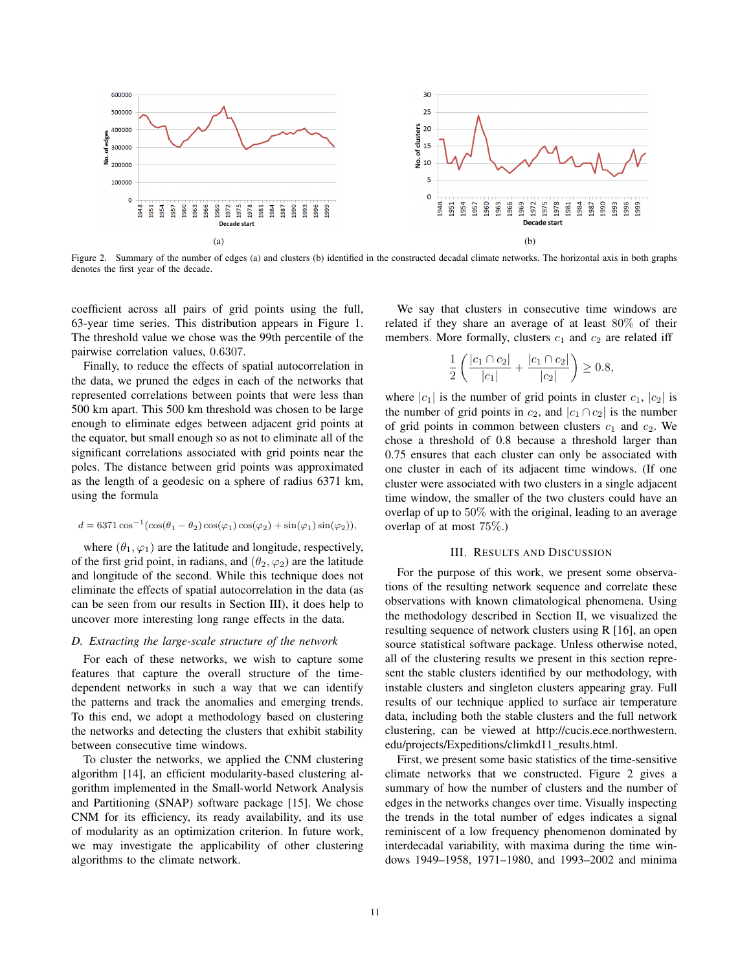

Figure 2. Summary of the number of edges (a) and clusters (b) identified in the constructed decadal climate networks. The horizontal axis in both graphs denotes the first year of the decade.

coefficient across all pairs of grid points using the full, 63-year time series. This distribution appears in Figure 1. The threshold value we chose was the 99th percentile of the pairwise correlation values, 0.6307.

Finally, to reduce the effects of spatial autocorrelation in the data, we pruned the edges in each of the networks that represented correlations between points that were less than 500 km apart. This 500 km threshold was chosen to be large enough to eliminate edges between adjacent grid points at the equator, but small enough so as not to eliminate all of the significant correlations associated with grid points near the poles. The distance between grid points was approximated as the length of a geodesic on a sphere of radius 6371 km, using the formula

$$
d = 6371 \cos^{-1}(\cos(\theta_1 - \theta_2)\cos(\varphi_1)\cos(\varphi_2) + \sin(\varphi_1)\sin(\varphi_2)),
$$

where  $(\theta_1, \varphi_1)$  are the latitude and longitude, respectively, of the first grid point, in radians, and  $(\theta_2, \varphi_2)$  are the latitude and longitude of the second. While this technique does not eliminate the effects of spatial autocorrelation in the data (as can be seen from our results in Section III), it does help to uncover more interesting long range effects in the data.

## *D. Extracting the large-scale structure of the network*

For each of these networks, we wish to capture some features that capture the overall structure of the timedependent networks in such a way that we can identify the patterns and track the anomalies and emerging trends. To this end, we adopt a methodology based on clustering the networks and detecting the clusters that exhibit stability between consecutive time windows.

To cluster the networks, we applied the CNM clustering algorithm [14], an efficient modularity-based clustering algorithm implemented in the Small-world Network Analysis and Partitioning (SNAP) software package [15]. We chose CNM for its efficiency, its ready availability, and its use of modularity as an optimization criterion. In future work, we may investigate the applicability of other clustering algorithms to the climate network.

We say that clusters in consecutive time windows are related if they share an average of at least 80% of their members. More formally, clusters  $c_1$  and  $c_2$  are related iff

$$
\frac{1}{2}\left(\frac{|c_1 \cap c_2|}{|c_1|} + \frac{|c_1 \cap c_2|}{|c_2|}\right) \ge 0.8,
$$

where  $|c_1|$  is the number of grid points in cluster  $c_1$ ,  $|c_2|$  is the number of grid points in  $c_2$ , and  $|c_1 \cap c_2|$  is the number of grid points in common between clusters  $c_1$  and  $c_2$ . We chose a threshold of 0.8 because a threshold larger than 0.75 ensures that each cluster can only be associated with one cluster in each of its adjacent time windows. (If one cluster were associated with two clusters in a single adjacent time window, the smaller of the two clusters could have an overlap of up to  $50\%$  with the original, leading to an average overlap of at most 75%.)

### III. RESULTS AND DISCUSSION

For the purpose of this work, we present some observations of the resulting network sequence and correlate these observations with known climatological phenomena. Using the methodology described in Section II, we visualized the resulting sequence of network clusters using R [16], an open source statistical software package. Unless otherwise noted, all of the clustering results we present in this section represent the stable clusters identified by our methodology, with instable clusters and singleton clusters appearing gray. Full results of our technique applied to surface air temperature data, including both the stable clusters and the full network clustering, can be viewed at http://cucis.ece.northwestern. edu/projects/Expeditions/climkd11\_results.html.

First, we present some basic statistics of the time-sensitive climate networks that we constructed. Figure 2 gives a summary of how the number of clusters and the number of edges in the networks changes over time. Visually inspecting the trends in the total number of edges indicates a signal reminiscent of a low frequency phenomenon dominated by interdecadal variability, with maxima during the time windows 1949–1958, 1971–1980, and 1993–2002 and minima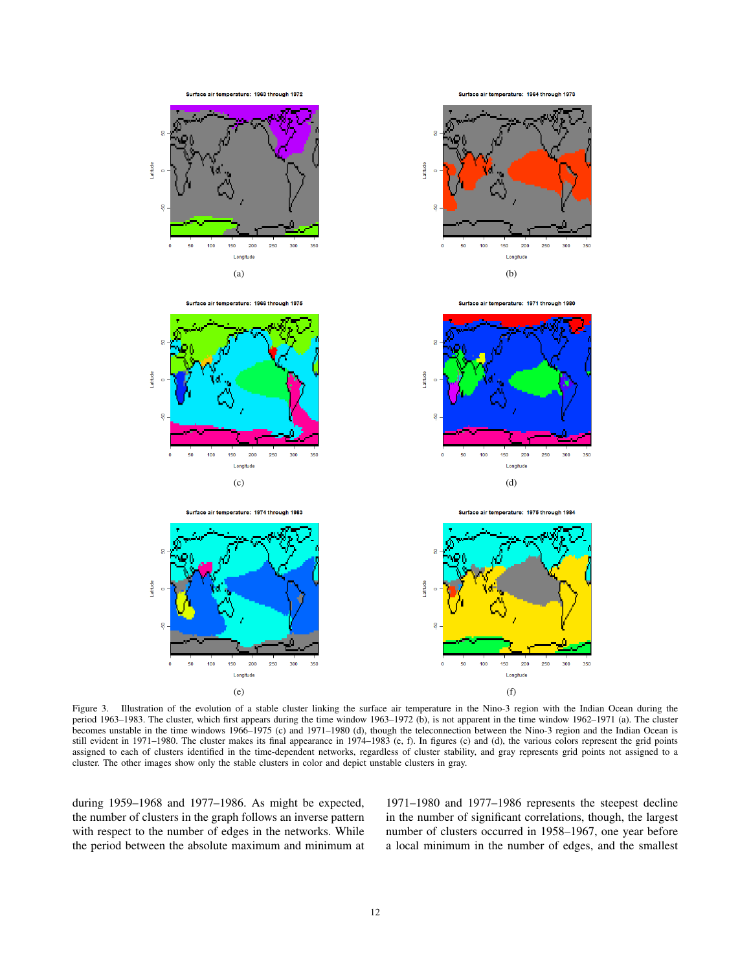

Figure 3. Illustration of the evolution of a stable cluster linking the surface air temperature in the Nino-3 region with the Indian Ocean during the period 1963–1983. The cluster, which first appears during the time window 1963–1972 (b), is not apparent in the time window 1962–1971 (a). The cluster becomes unstable in the time windows 1966–1975 (c) and 1971–1980 (d), though the teleconnection between the Nino-3 region and the Indian Ocean is still evident in 1971–1980. The cluster makes its final appearance in 1974–1983 (e, f). In figures (c) and (d), the various colors represent the grid points assigned to each of clusters identified in the time-dependent networks, regardless of cluster stability, and gray represents grid points not assigned to a cluster. The other images show only the stable clusters in color and depict unstable clusters in gray.

during 1959–1968 and 1977–1986. As might be expected, the number of clusters in the graph follows an inverse pattern with respect to the number of edges in the networks. While the period between the absolute maximum and minimum at

1971–1980 and 1977–1986 represents the steepest decline in the number of significant correlations, though, the largest number of clusters occurred in 1958–1967, one year before a local minimum in the number of edges, and the smallest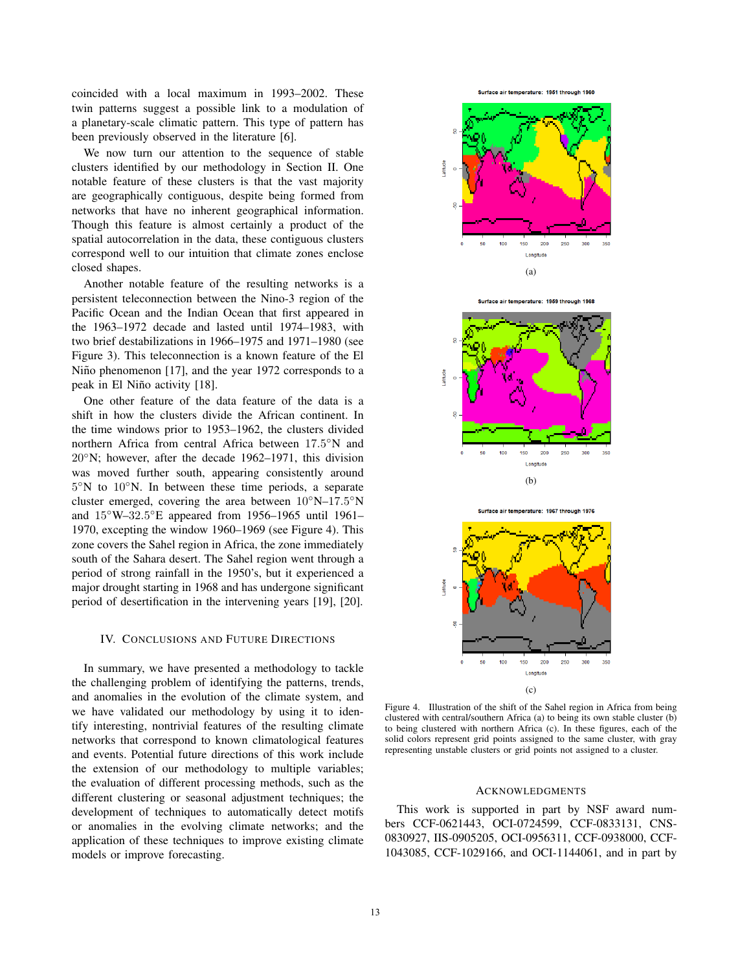coincided with a local maximum in 1993–2002. These twin patterns suggest a possible link to a modulation of a planetary-scale climatic pattern. This type of pattern has been previously observed in the literature [6].

We now turn our attention to the sequence of stable clusters identified by our methodology in Section II. One notable feature of these clusters is that the vast majority are geographically contiguous, despite being formed from networks that have no inherent geographical information. Though this feature is almost certainly a product of the spatial autocorrelation in the data, these contiguous clusters correspond well to our intuition that climate zones enclose closed shapes.

Another notable feature of the resulting networks is a persistent teleconnection between the Nino-3 region of the Pacific Ocean and the Indian Ocean that first appeared in the 1963–1972 decade and lasted until 1974–1983, with two brief destabilizations in 1966–1975 and 1971–1980 (see Figure 3). This teleconnection is a known feature of the El Niño phenomenon [17], and the year 1972 corresponds to a peak in El Niño activity [18].

One other feature of the data feature of the data is a shift in how the clusters divide the African continent. In the time windows prior to 1953–1962, the clusters divided northern Africa from central Africa between 17.5◦N and 20◦N; however, after the decade 1962–1971, this division was moved further south, appearing consistently around 5◦N to 10◦N. In between these time periods, a separate cluster emerged, covering the area between  $10°N-17.5°N$ and 15◦W–32.5◦E appeared from 1956–1965 until 1961– 1970, excepting the window 1960–1969 (see Figure 4). This zone covers the Sahel region in Africa, the zone immediately south of the Sahara desert. The Sahel region went through a period of strong rainfall in the 1950's, but it experienced a major drought starting in 1968 and has undergone significant period of desertification in the intervening years [19], [20].

#### IV. CONCLUSIONS AND FUTURE DIRECTIONS

In summary, we have presented a methodology to tackle the challenging problem of identifying the patterns, trends, and anomalies in the evolution of the climate system, and we have validated our methodology by using it to identify interesting, nontrivial features of the resulting climate networks that correspond to known climatological features and events. Potential future directions of this work include the extension of our methodology to multiple variables; the evaluation of different processing methods, such as the different clustering or seasonal adjustment techniques; the development of techniques to automatically detect motifs or anomalies in the evolving climate networks; and the application of these techniques to improve existing climate models or improve forecasting.





e air temperature: 1959 through 1968:



Surface air temperature: 1967 through 1976



Figure 4. Illustration of the shift of the Sahel region in Africa from being clustered with central/southern Africa (a) to being its own stable cluster (b) to being clustered with northern Africa (c). In these figures, each of the solid colors represent grid points assigned to the same cluster, with gray representing unstable clusters or grid points not assigned to a cluster.

#### **ACKNOWLEDGMENTS**

This work is supported in part by NSF award numbers CCF-0621443, OCI-0724599, CCF-0833131, CNS-0830927, IIS-0905205, OCI-0956311, CCF-0938000, CCF-1043085, CCF-1029166, and OCI-1144061, and in part by